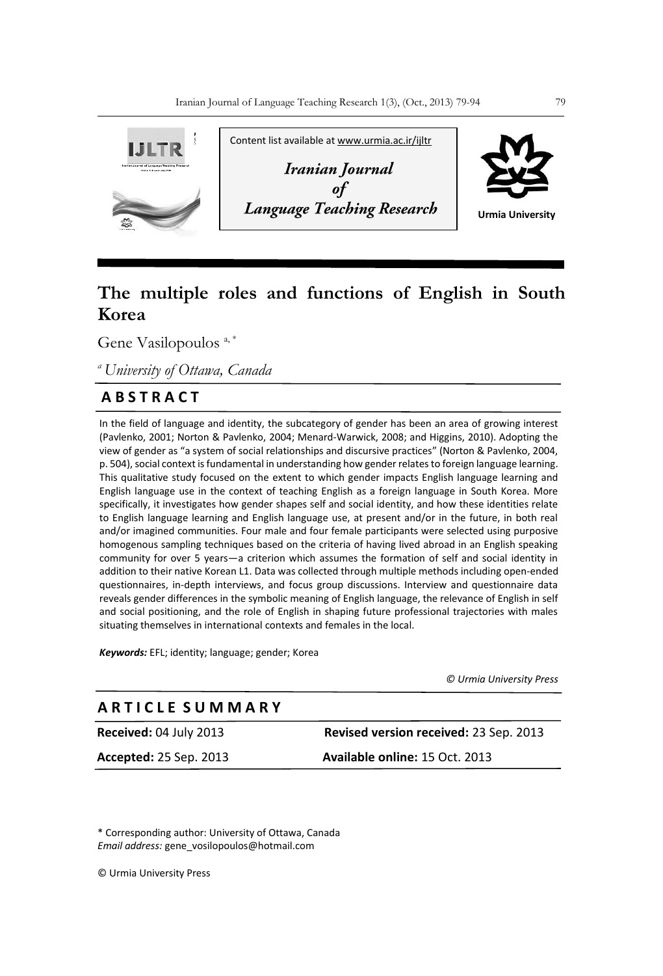

# **The multiple roles and functions of English in South Korea**

Gene Vasilopoulos<sup>a,\*</sup>

*<sup>a</sup>University of Ottawa, Canada*

# **A B S T R A C T**

In the field of language and identity, the subcategory of gender has been an area of growing interest (Pavlenko, 2001; Norton & Pavlenko, 2004; Menard-Warwick, 2008; and Higgins, 2010). Adopting the view of gender as "a system of social relationships and discursive practices" (Norton & Pavlenko, 2004, p. 504), social context is fundamental in understanding how gender relates to foreign language learning. This qualitative study focused on the extent to which gender impacts English language learning and English language use in the context of teaching English as a foreign language in South Korea. More specifically, it investigates how gender shapes self and social identity, and how these identities relate to English language learning and English language use, at present and/or in the future, in both real and/or imagined communities. Four male and four female participants were selected using purposive homogenous sampling techniques based on the criteria of having lived abroad in an English speaking community for over 5 years—a criterion which assumes the formation of self and social identity in addition to their native Korean L1. Data was collected through multiple methods including open-ended questionnaires, in-depth interviews, and focus group discussions. Interview and questionnaire data reveals gender differences in the symbolic meaning of English language, the relevance of English in self and social positioning, and the role of English in shaping future professional trajectories with males situating themselves in international contexts and females in the local.

*Keywords:* EFL; identity; language; gender; Korea

 *© Urmia University Press*

# **Received:** 04 July 2013 **Revised version received:** 23 Sep. 2013 **A R T I C L E S U M M A R Y**

**Accepted:** 25 Sep. 2013 **Available online:** 15 Oct. 2013

\* Corresponding author: University of Ottawa, Canada *Email address:* gene\_vosilopoulos@hotmail.com

© Urmia University Press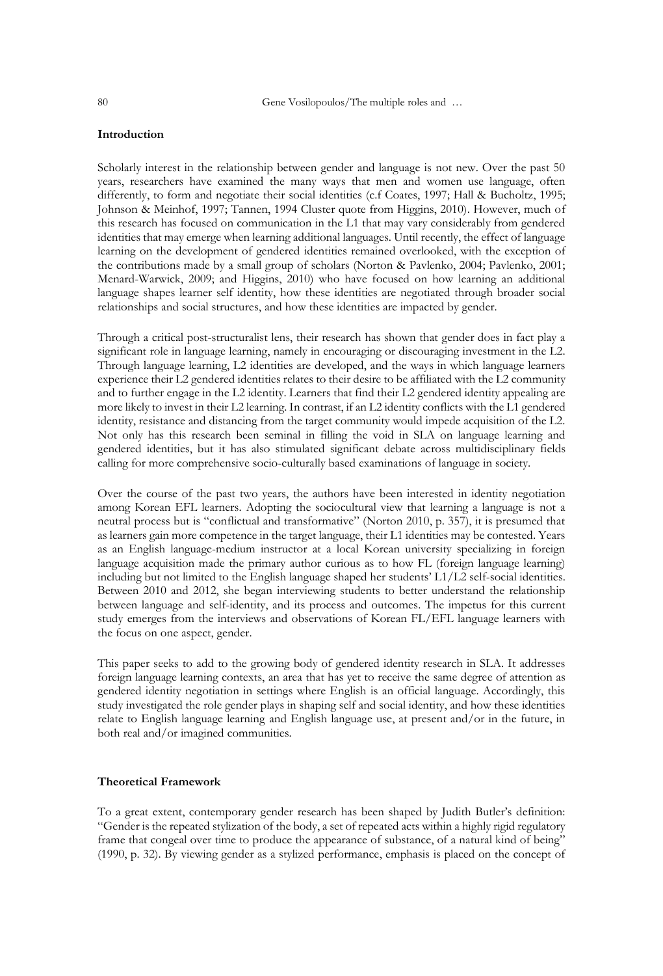## **Introduction**

Scholarly interest in the relationship between gender and language is not new. Over the past 50 years, researchers have examined the many ways that men and women use language, often differently, to form and negotiate their social identities (c.f Coates, 1997; Hall & Bucholtz, 1995; Johnson & Meinhof, 1997; Tannen, 1994 Cluster quote from Higgins, 2010). However, much of this research has focused on communication in the L1 that may vary considerably from gendered identities that may emerge when learning additional languages. Until recently, the effect of language learning on the development of gendered identities remained overlooked, with the exception of the contributions made by a small group of scholars (Norton & Pavlenko, 2004; Pavlenko, 2001; Menard-Warwick, 2009; and Higgins, 2010) who have focused on how learning an additional language shapes learner self identity, how these identities are negotiated through broader social relationships and social structures, and how these identities are impacted by gender.

Through a critical post-structuralist lens, their research has shown that gender does in fact play a significant role in language learning, namely in encouraging or discouraging investment in the L2. Through language learning, L2 identities are developed, and the ways in which language learners experience their L2 gendered identities relates to their desire to be affiliated with the L2 community and to further engage in the L2 identity. Learners that find their L2 gendered identity appealing are more likely to invest in their L2 learning. In contrast, if an L2 identity conflicts with the L1 gendered identity, resistance and distancing from the target community would impede acquisition of the L2. Not only has this research been seminal in filling the void in SLA on language learning and gendered identities, but it has also stimulated significant debate across multidisciplinary fields calling for more comprehensive socio-culturally based examinations of language in society.

Over the course of the past two years, the authors have been interested in identity negotiation among Korean EFL learners. Adopting the sociocultural view that learning a language is not a neutral process but is "conflictual and transformative" (Norton 2010, p. 357), it is presumed that as learners gain more competence in the target language, their L1 identities may be contested. Years as an English language-medium instructor at a local Korean university specializing in foreign language acquisition made the primary author curious as to how FL (foreign language learning) including but not limited to the English language shaped her students' L1/L2 self-social identities. Between 2010 and 2012, she began interviewing students to better understand the relationship between language and self-identity, and its process and outcomes. The impetus for this current study emerges from the interviews and observations of Korean FL/EFL language learners with the focus on one aspect, gender.

This paper seeks to add to the growing body of gendered identity research in SLA. It addresses foreign language learning contexts, an area that has yet to receive the same degree of attention as gendered identity negotiation in settings where English is an official language. Accordingly, this study investigated the role gender plays in shaping self and social identity, and how these identities relate to English language learning and English language use, at present and/or in the future, in both real and/or imagined communities.

#### **Theoretical Framework**

To a great extent, contemporary gender research has been shaped by Judith Butler's definition: "Gender is the repeated stylization of the body, a set of repeated acts within a highly rigid regulatory frame that congeal over time to produce the appearance of substance, of a natural kind of being" (1990, p. 32). By viewing gender as a stylized performance, emphasis is placed on the concept of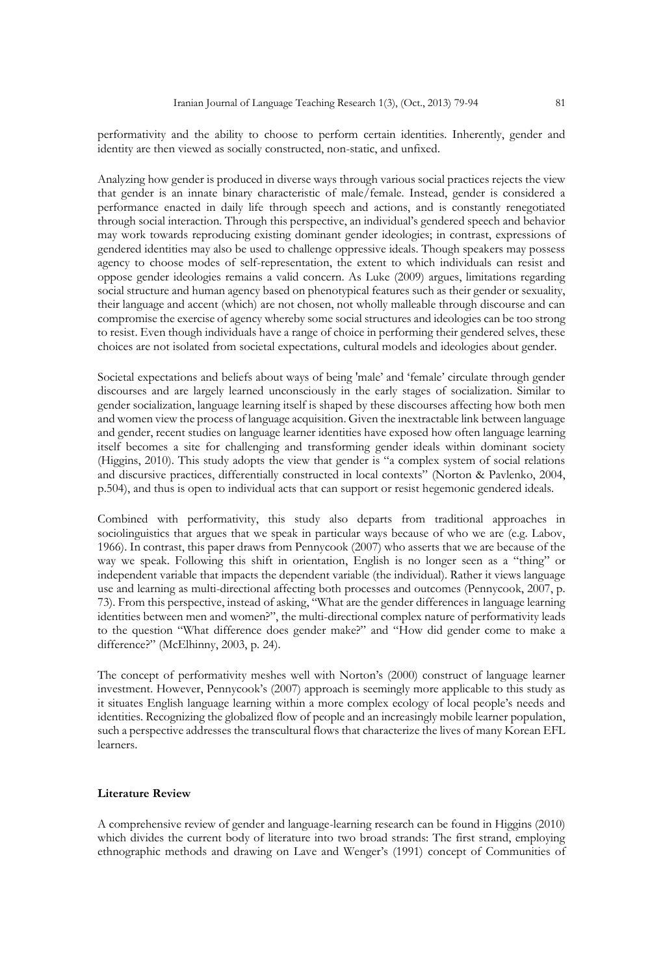performativity and the ability to choose to perform certain identities. Inherently, gender and identity are then viewed as socially constructed, non-static, and unfixed.

Analyzing how gender is produced in diverse ways through various social practices rejects the view that gender is an innate binary characteristic of male/female. Instead, gender is considered a performance enacted in daily life through speech and actions, and is constantly renegotiated through social interaction. Through this perspective, an individual's gendered speech and behavior may work towards reproducing existing dominant gender ideologies; in contrast, expressions of gendered identities may also be used to challenge oppressive ideals. Though speakers may possess agency to choose modes of self-representation, the extent to which individuals can resist and oppose gender ideologies remains a valid concern. As Luke (2009) argues, limitations regarding social structure and human agency based on phenotypical features such as their gender or sexuality, their language and accent (which) are not chosen, not wholly malleable through discourse and can compromise the exercise of agency whereby some social structures and ideologies can be too strong to resist. Even though individuals have a range of choice in performing their gendered selves, these choices are not isolated from societal expectations, cultural models and ideologies about gender.

Societal expectations and beliefs about ways of being 'male' and 'female' circulate through gender discourses and are largely learned unconsciously in the early stages of socialization. Similar to gender socialization, language learning itself is shaped by these discourses affecting how both men and women view the process of language acquisition. Given the inextractable link between language and gender, recent studies on language learner identities have exposed how often language learning itself becomes a site for challenging and transforming gender ideals within dominant society (Higgins, 2010). This study adopts the view that gender is "a complex system of social relations and discursive practices, differentially constructed in local contexts" (Norton & Pavlenko, 2004, p.504), and thus is open to individual acts that can support or resist hegemonic gendered ideals.

Combined with performativity, this study also departs from traditional approaches in sociolinguistics that argues that we speak in particular ways because of who we are (e.g. Labov, 1966). In contrast, this paper draws from Pennycook (2007) who asserts that we are because of the way we speak. Following this shift in orientation, English is no longer seen as a "thing" or independent variable that impacts the dependent variable (the individual). Rather it views language use and learning as multi-directional affecting both processes and outcomes (Pennycook, 2007, p. 73). From this perspective, instead of asking, "What are the gender differences in language learning identities between men and women?", the multi-directional complex nature of performativity leads to the question "What difference does gender make?" and "How did gender come to make a difference?" (McElhinny, 2003, p. 24).

The concept of performativity meshes well with Norton's (2000) construct of language learner investment. However, Pennycook's (2007) approach is seemingly more applicable to this study as it situates English language learning within a more complex ecology of local people's needs and identities. Recognizing the globalized flow of people and an increasingly mobile learner population, such a perspective addresses the transcultural flows that characterize the lives of many Korean EFL learners.

#### **Literature Review**

A comprehensive review of gender and language-learning research can be found in Higgins (2010) which divides the current body of literature into two broad strands: The first strand, employing ethnographic methods and drawing on Lave and Wenger's (1991) concept of Communities of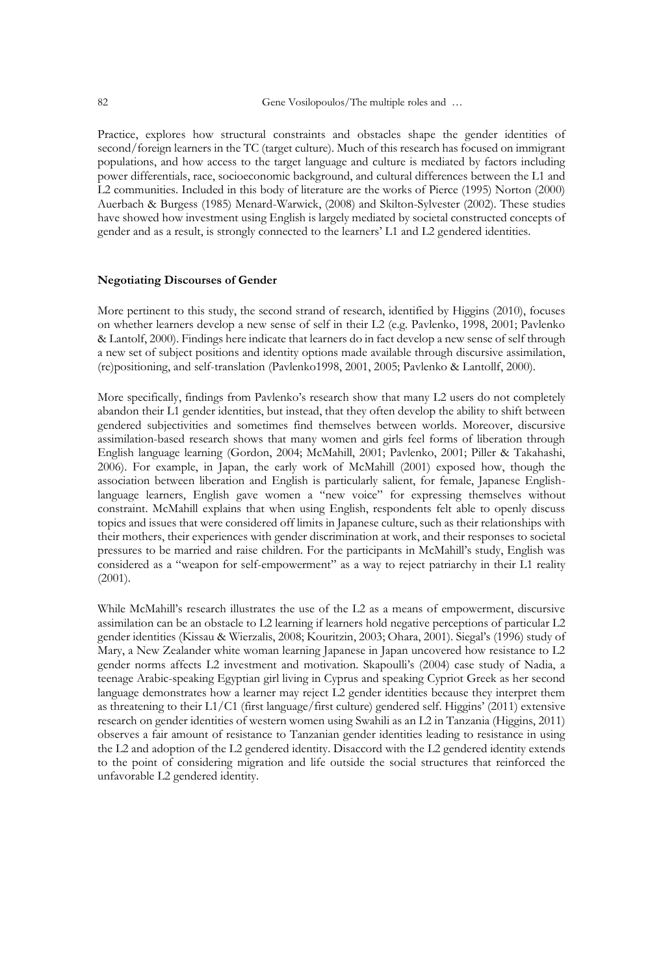Practice, explores how structural constraints and obstacles shape the gender identities of second/foreign learners in the TC (target culture). Much of this research has focused on immigrant populations, and how access to the target language and culture is mediated by factors including power differentials, race, socioeconomic background, and cultural differences between the L1 and L2 communities. Included in this body of literature are the works of Pierce (1995) Norton (2000) Auerbach & Burgess (1985) Menard-Warwick, (2008) and Skilton-Sylvester (2002). These studies have showed how investment using English is largely mediated by societal constructed concepts of gender and as a result, is strongly connected to the learners' L1 and L2 gendered identities.

#### **Negotiating Discourses of Gender**

More pertinent to this study, the second strand of research, identified by Higgins (2010), focuses on whether learners develop a new sense of self in their L2 (e.g. Pavlenko, 1998, 2001; Pavlenko & Lantolf, 2000). Findings here indicate that learners do in fact develop a new sense of self through a new set of subject positions and identity options made available through discursive assimilation, (re)positioning, and self-translation (Pavlenko1998, 2001, 2005; Pavlenko & Lantollf, 2000).

More specifically, findings from Pavlenko's research show that many L2 users do not completely abandon their L1 gender identities, but instead, that they often develop the ability to shift between gendered subjectivities and sometimes find themselves between worlds. Moreover, discursive assimilation-based research shows that many women and girls feel forms of liberation through English language learning (Gordon, 2004; McMahill, 2001; Pavlenko, 2001; Piller & Takahashi, 2006). For example, in Japan, the early work of McMahill (2001) exposed how, though the association between liberation and English is particularly salient, for female, Japanese Englishlanguage learners, English gave women a "new voice" for expressing themselves without constraint. McMahill explains that when using English, respondents felt able to openly discuss topics and issues that were considered off limits in Japanese culture, such as their relationships with their mothers, their experiences with gender discrimination at work, and their responses to societal pressures to be married and raise children. For the participants in McMahill's study, English was considered as a "weapon for self-empowerment" as a way to reject patriarchy in their L1 reality (2001).

While McMahill's research illustrates the use of the L2 as a means of empowerment, discursive assimilation can be an obstacle to L2 learning if learners hold negative perceptions of particular L2 gender identities (Kissau & Wierzalis, 2008; Kouritzin, 2003; Ohara, 2001). Siegal's (1996) study of Mary, a New Zealander white woman learning Japanese in Japan uncovered how resistance to L2 gender norms affects L2 investment and motivation. Skapoulli's (2004) case study of Nadia, a teenage Arabic-speaking Egyptian girl living in Cyprus and speaking Cypriot Greek as her second language demonstrates how a learner may reject L2 gender identities because they interpret them as threatening to their L1/C1 (first language/first culture) gendered self. Higgins' (2011) extensive research on gender identities of western women using Swahili as an L2 in Tanzania (Higgins, 2011) observes a fair amount of resistance to Tanzanian gender identities leading to resistance in using the L2 and adoption of the L2 gendered identity. Disaccord with the L2 gendered identity extends to the point of considering migration and life outside the social structures that reinforced the unfavorable L2 gendered identity.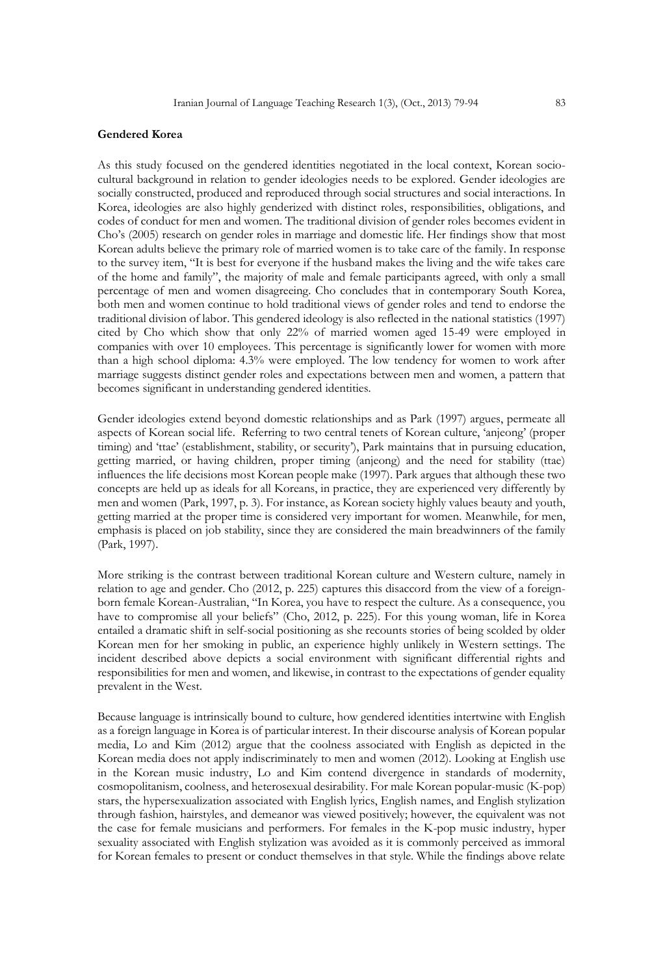#### **Gendered Korea**

As this study focused on the gendered identities negotiated in the local context, Korean sociocultural background in relation to gender ideologies needs to be explored. Gender ideologies are socially constructed, produced and reproduced through social structures and social interactions. In Korea, ideologies are also highly genderized with distinct roles, responsibilities, obligations, and codes of conduct for men and women. The traditional division of gender roles becomes evident in Cho's (2005) research on gender roles in marriage and domestic life. Her findings show that most Korean adults believe the primary role of married women is to take care of the family. In response to the survey item, "It is best for everyone if the husband makes the living and the wife takes care of the home and family", the majority of male and female participants agreed, with only a small percentage of men and women disagreeing. Cho concludes that in contemporary South Korea, both men and women continue to hold traditional views of gender roles and tend to endorse the traditional division of labor. This gendered ideology is also reflected in the national statistics (1997) cited by Cho which show that only 22% of married women aged 15-49 were employed in companies with over 10 employees. This percentage is significantly lower for women with more than a high school diploma: 4.3% were employed. The low tendency for women to work after marriage suggests distinct gender roles and expectations between men and women, a pattern that becomes significant in understanding gendered identities.

Gender ideologies extend beyond domestic relationships and as Park (1997) argues, permeate all aspects of Korean social life. Referring to two central tenets of Korean culture, 'anjeong' (proper timing) and 'ttae' (establishment, stability, or security'), Park maintains that in pursuing education, getting married, or having children, proper timing (anjeong) and the need for stability (ttae) influences the life decisions most Korean people make (1997). Park argues that although these two concepts are held up as ideals for all Koreans, in practice, they are experienced very differently by men and women (Park, 1997, p. 3). For instance, as Korean society highly values beauty and youth, getting married at the proper time is considered very important for women. Meanwhile, for men, emphasis is placed on job stability, since they are considered the main breadwinners of the family (Park, 1997).

More striking is the contrast between traditional Korean culture and Western culture, namely in relation to age and gender. Cho (2012, p. 225) captures this disaccord from the view of a foreignborn female Korean-Australian, "In Korea, you have to respect the culture. As a consequence, you have to compromise all your beliefs" (Cho, 2012, p. 225). For this young woman, life in Korea entailed a dramatic shift in self-social positioning as she recounts stories of being scolded by older Korean men for her smoking in public, an experience highly unlikely in Western settings. The incident described above depicts a social environment with significant differential rights and responsibilities for men and women, and likewise, in contrast to the expectations of gender equality prevalent in the West.

Because language is intrinsically bound to culture, how gendered identities intertwine with English as a foreign language in Korea is of particular interest. In their discourse analysis of Korean popular media, Lo and Kim (2012) argue that the coolness associated with English as depicted in the Korean media does not apply indiscriminately to men and women (2012). Looking at English use in the Korean music industry, Lo and Kim contend divergence in standards of modernity, cosmopolitanism, coolness, and heterosexual desirability. For male Korean popular-music (K-pop) stars, the hypersexualization associated with English lyrics, English names, and English stylization through fashion, hairstyles, and demeanor was viewed positively; however, the equivalent was not the case for female musicians and performers. For females in the K-pop music industry, hyper sexuality associated with English stylization was avoided as it is commonly perceived as immoral for Korean females to present or conduct themselves in that style. While the findings above relate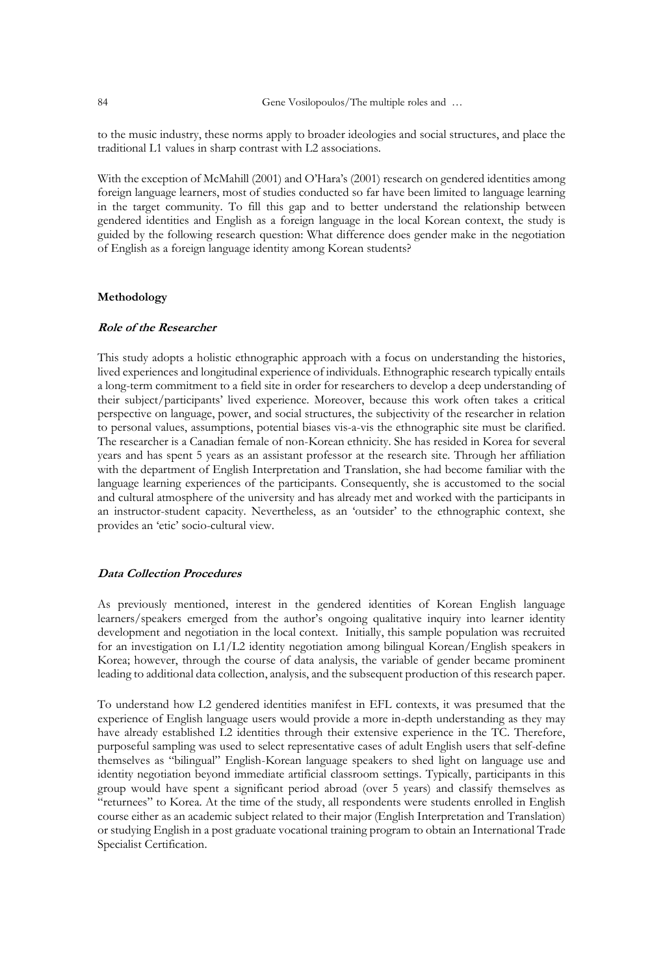to the music industry, these norms apply to broader ideologies and social structures, and place the traditional L1 values in sharp contrast with L2 associations.

With the exception of McMahill (2001) and O'Hara's (2001) research on gendered identities among foreign language learners, most of studies conducted so far have been limited to language learning in the target community. To fill this gap and to better understand the relationship between gendered identities and English as a foreign language in the local Korean context, the study is guided by the following research question: What difference does gender make in the negotiation of English as a foreign language identity among Korean students?

## **Methodology**

# **Role of the Researcher**

This study adopts a holistic ethnographic approach with a focus on understanding the histories, lived experiences and longitudinal experience of individuals. Ethnographic research typically entails a long-term commitment to a field site in order for researchers to develop a deep understanding of their subject/participants' lived experience. Moreover, because this work often takes a critical perspective on language, power, and social structures, the subjectivity of the researcher in relation to personal values, assumptions, potential biases vis-a-vis the ethnographic site must be clarified. The researcher is a Canadian female of non-Korean ethnicity. She has resided in Korea for several years and has spent 5 years as an assistant professor at the research site. Through her affiliation with the department of English Interpretation and Translation, she had become familiar with the language learning experiences of the participants. Consequently, she is accustomed to the social and cultural atmosphere of the university and has already met and worked with the participants in an instructor-student capacity. Nevertheless, as an 'outsider' to the ethnographic context, she provides an 'etic' socio-cultural view.

## **Data Collection Procedures**

As previously mentioned, interest in the gendered identities of Korean English language learners/speakers emerged from the author's ongoing qualitative inquiry into learner identity development and negotiation in the local context. Initially, this sample population was recruited for an investigation on L1/L2 identity negotiation among bilingual Korean/English speakers in Korea; however, through the course of data analysis, the variable of gender became prominent leading to additional data collection, analysis, and the subsequent production of this research paper.

To understand how L2 gendered identities manifest in EFL contexts, it was presumed that the experience of English language users would provide a more in-depth understanding as they may have already established L2 identities through their extensive experience in the TC. Therefore, purposeful sampling was used to select representative cases of adult English users that self-define themselves as "bilingual" English-Korean language speakers to shed light on language use and identity negotiation beyond immediate artificial classroom settings. Typically, participants in this group would have spent a significant period abroad (over 5 years) and classify themselves as "returnees" to Korea. At the time of the study, all respondents were students enrolled in English course either as an academic subject related to their major (English Interpretation and Translation) or studying English in a post graduate vocational training program to obtain an International Trade Specialist Certification.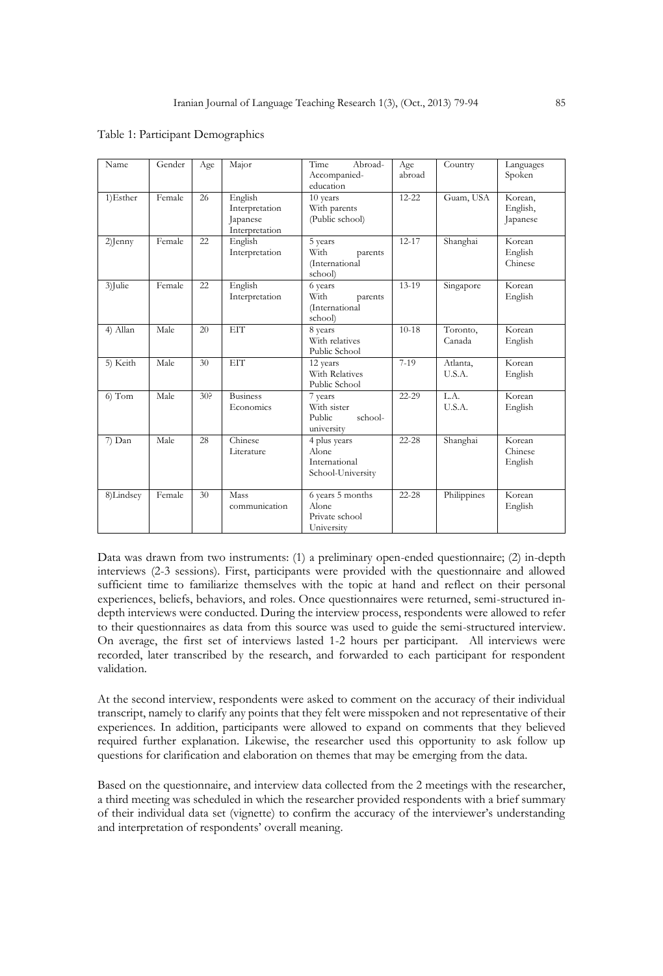| Name       | Gender | Age | Major                                                   | Abroad-<br>Time<br>Accompanied-<br>education                | Age<br>abroad | Country            | Languages<br>Spoken             |
|------------|--------|-----|---------------------------------------------------------|-------------------------------------------------------------|---------------|--------------------|---------------------------------|
| 1)Esther   | Female | 26  | English<br>Interpretation<br>Japanese<br>Interpretation | 10 years<br>With parents<br>(Public school)                 | $12 - 22$     | Guam, USA          | Korean,<br>English,<br>Japanese |
| $2$ ] enny | Female | 22  | English<br>Interpretation                               | 5 years<br>With<br>parents<br>(International<br>school)     | $12 - 17$     | Shanghai           | Korean<br>English<br>Chinese    |
| 3)Julie    | Female | 22  | English<br>Interpretation                               | 6 years<br>With<br>parents<br>(International<br>school)     | $13 - 19$     | Singapore          | Korean<br>English               |
| 4) Allan   | Male   | 20  | <b>EIT</b>                                              | 8 years<br>With relatives<br>Public School                  | $10 - 18$     | Toronto,<br>Canada | Korean<br>English               |
| 5) Keith   | Male   | 30  | <b>EIT</b>                                              | 12 years<br>With Relatives<br>Public School                 | $7-19$        | Atlanta.<br>U.S.A. | Korean<br>English               |
| $6)$ Tom   | Male   | 30? | <b>Business</b><br>Economics                            | 7 years<br>With sister<br>Public<br>school-<br>university   | $22 - 29$     | L.A.<br>U.S.A.     | Korean<br>English               |
| 7) Dan     | Male   | 28  | Chinese<br>Literature                                   | 4 plus years<br>Alone<br>International<br>School-University | $22 - 28$     | Shanghai           | Korean<br>Chinese<br>English    |
| 8)Lindsey  | Female | 30  | Mass<br>communication                                   | 6 years 5 months<br>Alone<br>Private school<br>University   | $22 - 28$     | Philippines        | Korean<br>English               |

Table 1: Participant Demographics

Data was drawn from two instruments: (1) a preliminary open-ended questionnaire; (2) in-depth interviews (2-3 sessions). First, participants were provided with the questionnaire and allowed sufficient time to familiarize themselves with the topic at hand and reflect on their personal experiences, beliefs, behaviors, and roles. Once questionnaires were returned, semi-structured indepth interviews were conducted. During the interview process, respondents were allowed to refer to their questionnaires as data from this source was used to guide the semi-structured interview. On average, the first set of interviews lasted 1-2 hours per participant. All interviews were recorded, later transcribed by the research, and forwarded to each participant for respondent validation.

At the second interview, respondents were asked to comment on the accuracy of their individual transcript, namely to clarify any points that they felt were misspoken and not representative of their experiences. In addition, participants were allowed to expand on comments that they believed required further explanation. Likewise, the researcher used this opportunity to ask follow up questions for clarification and elaboration on themes that may be emerging from the data.

Based on the questionnaire, and interview data collected from the 2 meetings with the researcher, a third meeting was scheduled in which the researcher provided respondents with a brief summary of their individual data set (vignette) to confirm the accuracy of the interviewer's understanding and interpretation of respondents' overall meaning.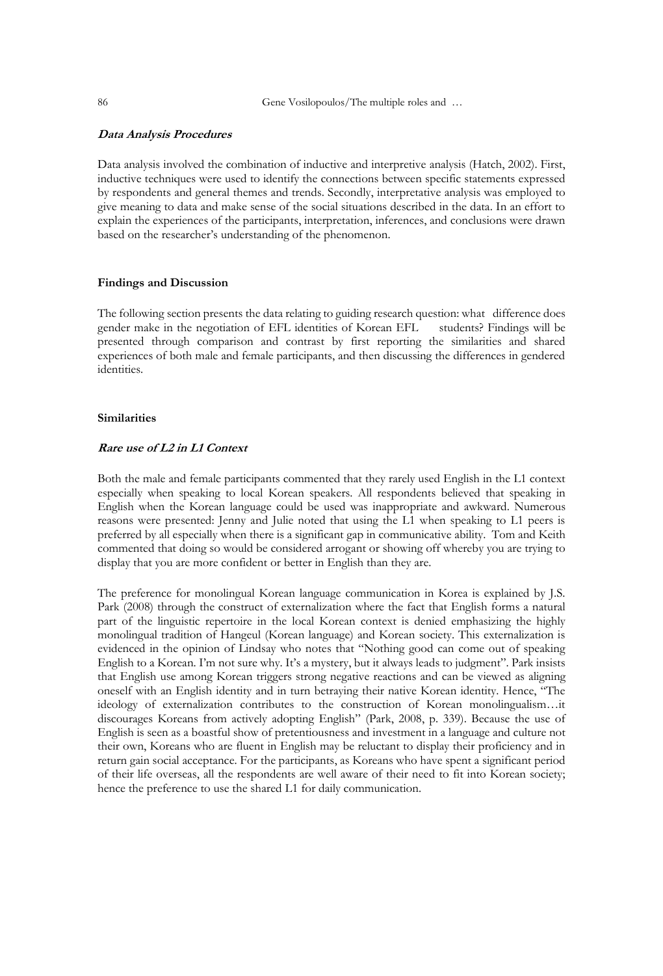#### **Data Analysis Procedures**

Data analysis involved the combination of inductive and interpretive analysis (Hatch, 2002). First, inductive techniques were used to identify the connections between specific statements expressed by respondents and general themes and trends. Secondly, interpretative analysis was employed to give meaning to data and make sense of the social situations described in the data. In an effort to explain the experiences of the participants, interpretation, inferences, and conclusions were drawn based on the researcher's understanding of the phenomenon.

#### **Findings and Discussion**

The following section presents the data relating to guiding research question: what difference does gender make in the negotiation of EFL identities of Korean EFL students? Findings will be presented through comparison and contrast by first reporting the similarities and shared experiences of both male and female participants, and then discussing the differences in gendered identities.

#### **Similarities**

#### **Rare use of L2 in L1 Context**

Both the male and female participants commented that they rarely used English in the L1 context especially when speaking to local Korean speakers. All respondents believed that speaking in English when the Korean language could be used was inappropriate and awkward. Numerous reasons were presented: Jenny and Julie noted that using the L1 when speaking to L1 peers is preferred by all especially when there is a significant gap in communicative ability. Tom and Keith commented that doing so would be considered arrogant or showing off whereby you are trying to display that you are more confident or better in English than they are.

The preference for monolingual Korean language communication in Korea is explained by J.S. Park (2008) through the construct of externalization where the fact that English forms a natural part of the linguistic repertoire in the local Korean context is denied emphasizing the highly monolingual tradition of Hangeul (Korean language) and Korean society. This externalization is evidenced in the opinion of Lindsay who notes that "Nothing good can come out of speaking English to a Korean. I'm not sure why. It's a mystery, but it always leads to judgment". Park insists that English use among Korean triggers strong negative reactions and can be viewed as aligning oneself with an English identity and in turn betraying their native Korean identity. Hence, "The ideology of externalization contributes to the construction of Korean monolingualism…it discourages Koreans from actively adopting English" (Park, 2008, p. 339). Because the use of English is seen as a boastful show of pretentiousness and investment in a language and culture not their own, Koreans who are fluent in English may be reluctant to display their proficiency and in return gain social acceptance. For the participants, as Koreans who have spent a significant period of their life overseas, all the respondents are well aware of their need to fit into Korean society; hence the preference to use the shared L1 for daily communication.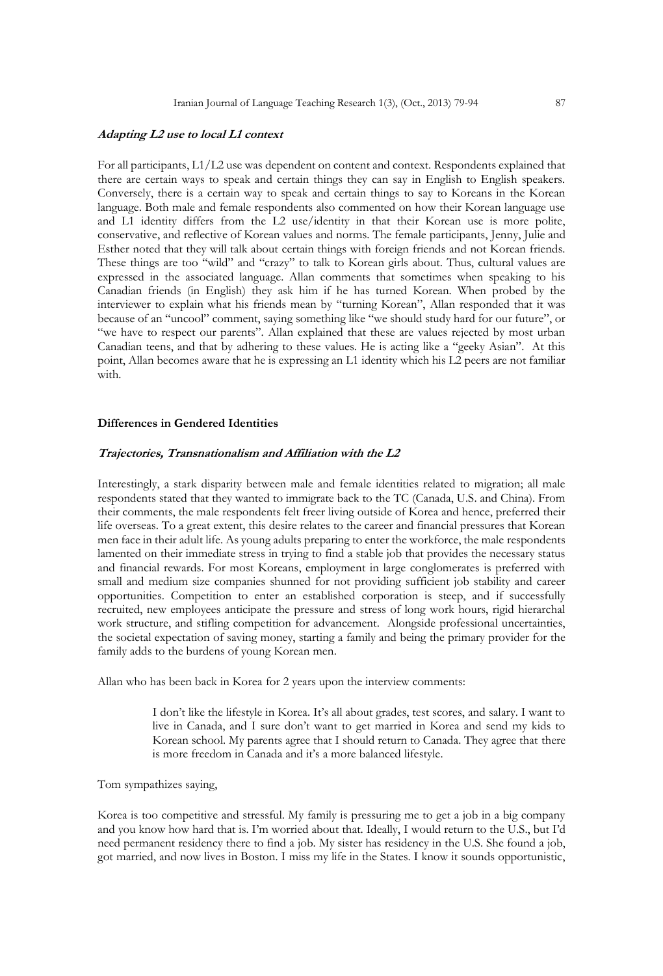#### **Adapting L2 use to local L1 context**

For all participants, L1/L2 use was dependent on content and context. Respondents explained that there are certain ways to speak and certain things they can say in English to English speakers. Conversely, there is a certain way to speak and certain things to say to Koreans in the Korean language. Both male and female respondents also commented on how their Korean language use and L1 identity differs from the L2 use/identity in that their Korean use is more polite, conservative, and reflective of Korean values and norms. The female participants, Jenny, Julie and Esther noted that they will talk about certain things with foreign friends and not Korean friends. These things are too "wild" and "crazy" to talk to Korean girls about. Thus, cultural values are expressed in the associated language. Allan comments that sometimes when speaking to his Canadian friends (in English) they ask him if he has turned Korean. When probed by the interviewer to explain what his friends mean by "turning Korean", Allan responded that it was because of an "uncool" comment, saying something like "we should study hard for our future", or "we have to respect our parents". Allan explained that these are values rejected by most urban Canadian teens, and that by adhering to these values. He is acting like a "geeky Asian". At this point, Allan becomes aware that he is expressing an L1 identity which his L2 peers are not familiar with.

## **Differences in Gendered Identities**

#### **Trajectories, Transnationalism and Affiliation with the L2**

Interestingly, a stark disparity between male and female identities related to migration; all male respondents stated that they wanted to immigrate back to the TC (Canada, U.S. and China). From their comments, the male respondents felt freer living outside of Korea and hence, preferred their life overseas. To a great extent, this desire relates to the career and financial pressures that Korean men face in their adult life. As young adults preparing to enter the workforce, the male respondents lamented on their immediate stress in trying to find a stable job that provides the necessary status and financial rewards. For most Koreans, employment in large conglomerates is preferred with small and medium size companies shunned for not providing sufficient job stability and career opportunities. Competition to enter an established corporation is steep, and if successfully recruited, new employees anticipate the pressure and stress of long work hours, rigid hierarchal work structure, and stifling competition for advancement. Alongside professional uncertainties, the societal expectation of saving money, starting a family and being the primary provider for the family adds to the burdens of young Korean men.

Allan who has been back in Korea for 2 years upon the interview comments:

I don't like the lifestyle in Korea. It's all about grades, test scores, and salary. I want to live in Canada, and I sure don't want to get married in Korea and send my kids to Korean school. My parents agree that I should return to Canada. They agree that there is more freedom in Canada and it's a more balanced lifestyle.

Tom sympathizes saying,

Korea is too competitive and stressful. My family is pressuring me to get a job in a big company and you know how hard that is. I'm worried about that. Ideally, I would return to the U.S., but I'd need permanent residency there to find a job. My sister has residency in the U.S. She found a job, got married, and now lives in Boston. I miss my life in the States. I know it sounds opportunistic,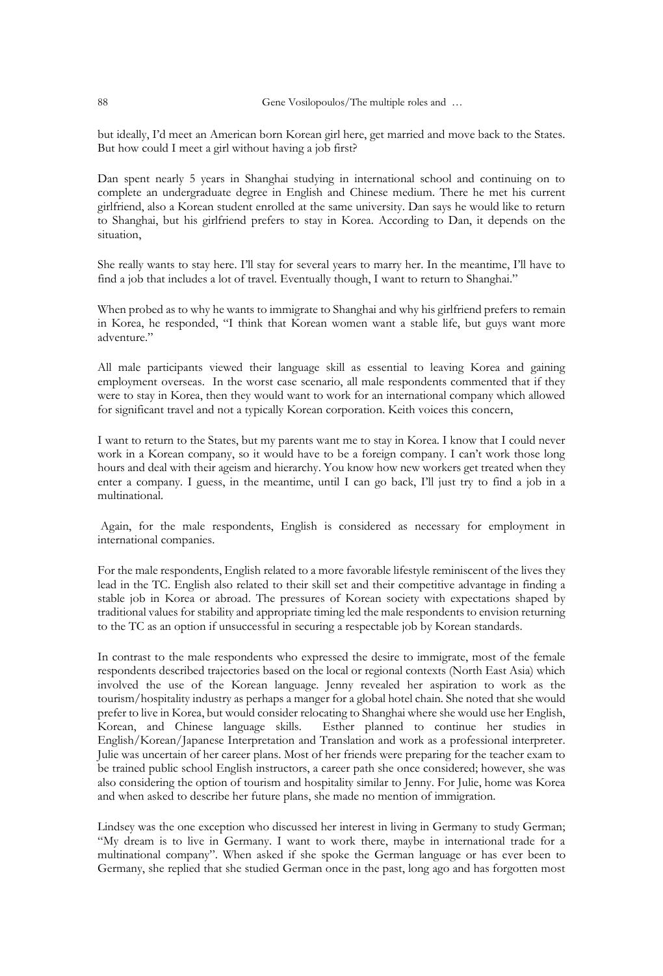but ideally, I'd meet an American born Korean girl here, get married and move back to the States. But how could I meet a girl without having a job first?

Dan spent nearly 5 years in Shanghai studying in international school and continuing on to complete an undergraduate degree in English and Chinese medium. There he met his current girlfriend, also a Korean student enrolled at the same university. Dan says he would like to return to Shanghai, but his girlfriend prefers to stay in Korea. According to Dan, it depends on the situation,

She really wants to stay here. I'll stay for several years to marry her. In the meantime, I'll have to find a job that includes a lot of travel. Eventually though, I want to return to Shanghai."

When probed as to why he wants to immigrate to Shanghai and why his girlfriend prefers to remain in Korea, he responded, "I think that Korean women want a stable life, but guys want more adventure."

All male participants viewed their language skill as essential to leaving Korea and gaining employment overseas. In the worst case scenario, all male respondents commented that if they were to stay in Korea, then they would want to work for an international company which allowed for significant travel and not a typically Korean corporation. Keith voices this concern,

I want to return to the States, but my parents want me to stay in Korea. I know that I could never work in a Korean company, so it would have to be a foreign company. I can't work those long hours and deal with their ageism and hierarchy. You know how new workers get treated when they enter a company. I guess, in the meantime, until I can go back, I'll just try to find a job in a multinational.

Again, for the male respondents, English is considered as necessary for employment in international companies.

For the male respondents, English related to a more favorable lifestyle reminiscent of the lives they lead in the TC. English also related to their skill set and their competitive advantage in finding a stable job in Korea or abroad. The pressures of Korean society with expectations shaped by traditional values for stability and appropriate timing led the male respondents to envision returning to the TC as an option if unsuccessful in securing a respectable job by Korean standards.

In contrast to the male respondents who expressed the desire to immigrate, most of the female respondents described trajectories based on the local or regional contexts (North East Asia) which involved the use of the Korean language. Jenny revealed her aspiration to work as the tourism/hospitality industry as perhaps a manger for a global hotel chain. She noted that she would prefer to live in Korea, but would consider relocating to Shanghai where she would use her English, Korean, and Chinese language skills. Esther planned to continue her studies in English/Korean/Japanese Interpretation and Translation and work as a professional interpreter. Julie was uncertain of her career plans. Most of her friends were preparing for the teacher exam to be trained public school English instructors, a career path she once considered; however, she was also considering the option of tourism and hospitality similar to Jenny. For Julie, home was Korea and when asked to describe her future plans, she made no mention of immigration.

Lindsey was the one exception who discussed her interest in living in Germany to study German; "My dream is to live in Germany. I want to work there, maybe in international trade for a multinational company". When asked if she spoke the German language or has ever been to Germany, she replied that she studied German once in the past, long ago and has forgotten most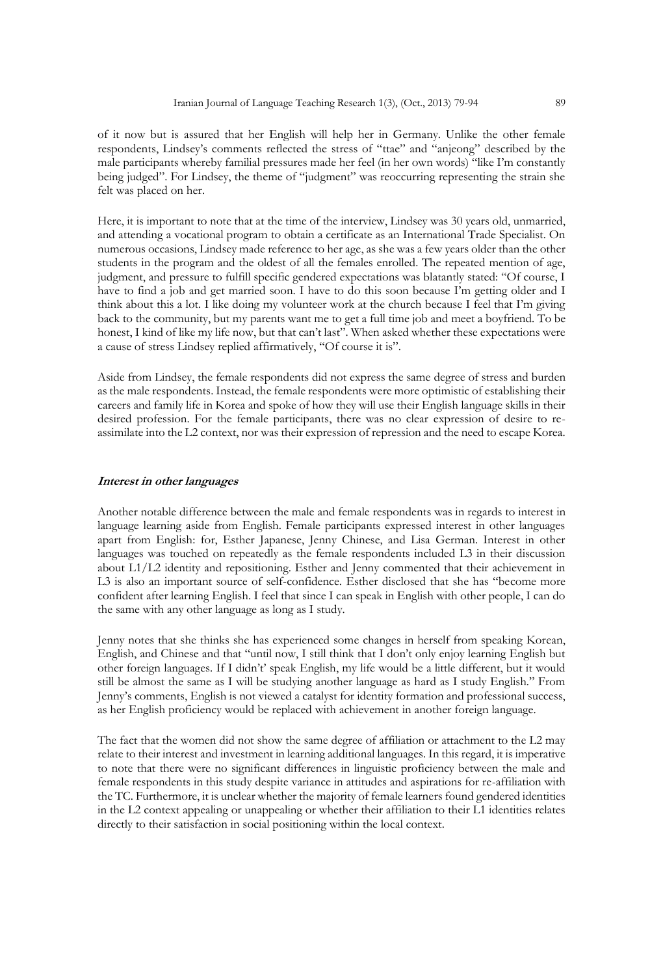of it now but is assured that her English will help her in Germany. Unlike the other female respondents, Lindsey's comments reflected the stress of "ttae" and "anjeong" described by the male participants whereby familial pressures made her feel (in her own words) "like I'm constantly being judged". For Lindsey, the theme of "judgment" was reoccurring representing the strain she felt was placed on her.

Here, it is important to note that at the time of the interview, Lindsey was 30 years old, unmarried, and attending a vocational program to obtain a certificate as an International Trade Specialist. On numerous occasions, Lindsey made reference to her age, as she was a few years older than the other students in the program and the oldest of all the females enrolled. The repeated mention of age, judgment, and pressure to fulfill specific gendered expectations was blatantly stated: "Of course, I have to find a job and get married soon. I have to do this soon because I'm getting older and I think about this a lot. I like doing my volunteer work at the church because I feel that I'm giving back to the community, but my parents want me to get a full time job and meet a boyfriend. To be honest, I kind of like my life now, but that can't last". When asked whether these expectations were a cause of stress Lindsey replied affirmatively, "Of course it is".

Aside from Lindsey, the female respondents did not express the same degree of stress and burden as the male respondents. Instead, the female respondents were more optimistic of establishing their careers and family life in Korea and spoke of how they will use their English language skills in their desired profession. For the female participants, there was no clear expression of desire to reassimilate into the L2 context, nor was their expression of repression and the need to escape Korea.

#### **Interest in other languages**

Another notable difference between the male and female respondents was in regards to interest in language learning aside from English. Female participants expressed interest in other languages apart from English: for, Esther Japanese, Jenny Chinese, and Lisa German. Interest in other languages was touched on repeatedly as the female respondents included L3 in their discussion about L1/L2 identity and repositioning. Esther and Jenny commented that their achievement in L3 is also an important source of self-confidence. Esther disclosed that she has "become more confident after learning English. I feel that since I can speak in English with other people, I can do the same with any other language as long as I study.

Jenny notes that she thinks she has experienced some changes in herself from speaking Korean, English, and Chinese and that "until now, I still think that I don't only enjoy learning English but other foreign languages. If I didn't' speak English, my life would be a little different, but it would still be almost the same as I will be studying another language as hard as I study English." From Jenny's comments, English is not viewed a catalyst for identity formation and professional success, as her English proficiency would be replaced with achievement in another foreign language.

The fact that the women did not show the same degree of affiliation or attachment to the L2 may relate to their interest and investment in learning additional languages. In this regard, it is imperative to note that there were no significant differences in linguistic proficiency between the male and female respondents in this study despite variance in attitudes and aspirations for re-affiliation with the TC. Furthermore, it is unclear whether the majority of female learners found gendered identities in the L2 context appealing or unappealing or whether their affiliation to their L1 identities relates directly to their satisfaction in social positioning within the local context.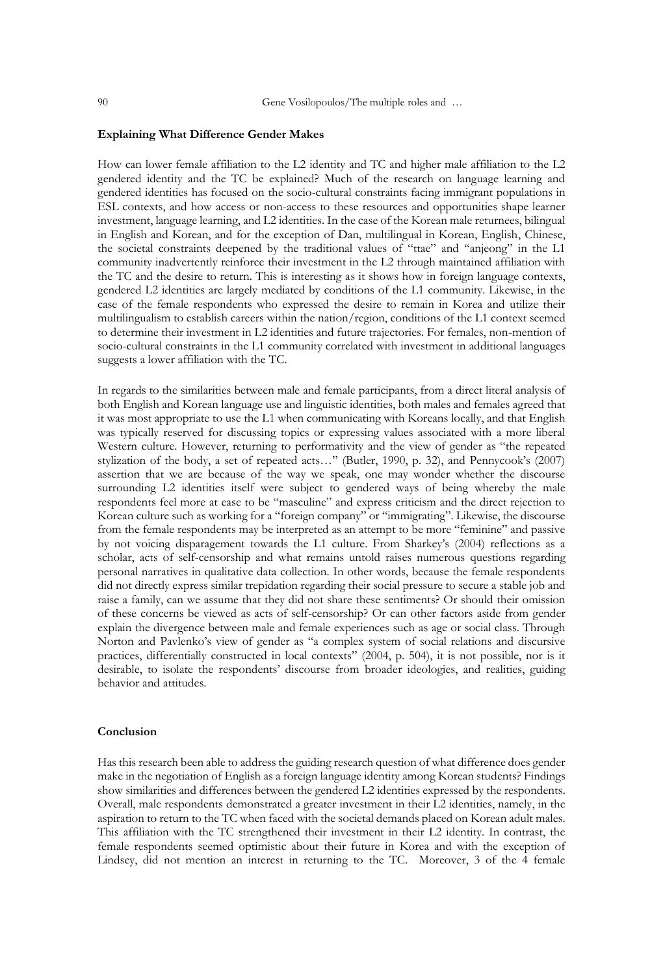#### **Explaining What Difference Gender Makes**

How can lower female affiliation to the L2 identity and TC and higher male affiliation to the L2 gendered identity and the TC be explained? Much of the research on language learning and gendered identities has focused on the socio-cultural constraints facing immigrant populations in ESL contexts, and how access or non-access to these resources and opportunities shape learner investment, language learning, and L2 identities. In the case of the Korean male returnees, bilingual in English and Korean, and for the exception of Dan, multilingual in Korean, English, Chinese, the societal constraints deepened by the traditional values of "ttae" and "anjeong" in the L1 community inadvertently reinforce their investment in the L2 through maintained affiliation with the TC and the desire to return. This is interesting as it shows how in foreign language contexts, gendered L2 identities are largely mediated by conditions of the L1 community. Likewise, in the case of the female respondents who expressed the desire to remain in Korea and utilize their multilingualism to establish careers within the nation/region, conditions of the L1 context seemed to determine their investment in L2 identities and future trajectories. For females, non-mention of socio-cultural constraints in the L1 community correlated with investment in additional languages suggests a lower affiliation with the TC.

In regards to the similarities between male and female participants, from a direct literal analysis of both English and Korean language use and linguistic identities, both males and females agreed that it was most appropriate to use the L1 when communicating with Koreans locally, and that English was typically reserved for discussing topics or expressing values associated with a more liberal Western culture. However, returning to performativity and the view of gender as "the repeated stylization of the body, a set of repeated acts…" (Butler, 1990, p. 32), and Pennycook's (2007) assertion that we are because of the way we speak, one may wonder whether the discourse surrounding L2 identities itself were subject to gendered ways of being whereby the male respondents feel more at ease to be "masculine" and express criticism and the direct rejection to Korean culture such as working for a "foreign company" or "immigrating". Likewise, the discourse from the female respondents may be interpreted as an attempt to be more "feminine" and passive by not voicing disparagement towards the L1 culture. From Sharkey's (2004) reflections as a scholar, acts of self-censorship and what remains untold raises numerous questions regarding personal narratives in qualitative data collection. In other words, because the female respondents did not directly express similar trepidation regarding their social pressure to secure a stable job and raise a family, can we assume that they did not share these sentiments? Or should their omission of these concerns be viewed as acts of self-censorship? Or can other factors aside from gender explain the divergence between male and female experiences such as age or social class. Through Norton and Pavlenko's view of gender as "a complex system of social relations and discursive practices, differentially constructed in local contexts" (2004, p. 504), it is not possible, nor is it desirable, to isolate the respondents' discourse from broader ideologies, and realities, guiding behavior and attitudes.

#### **Conclusion**

Has this research been able to address the guiding research question of what difference does gender make in the negotiation of English as a foreign language identity among Korean students? Findings show similarities and differences between the gendered L2 identities expressed by the respondents. Overall, male respondents demonstrated a greater investment in their L2 identities, namely, in the aspiration to return to the TC when faced with the societal demands placed on Korean adult males. This affiliation with the TC strengthened their investment in their L2 identity. In contrast, the female respondents seemed optimistic about their future in Korea and with the exception of Lindsey, did not mention an interest in returning to the TC. Moreover, 3 of the 4 female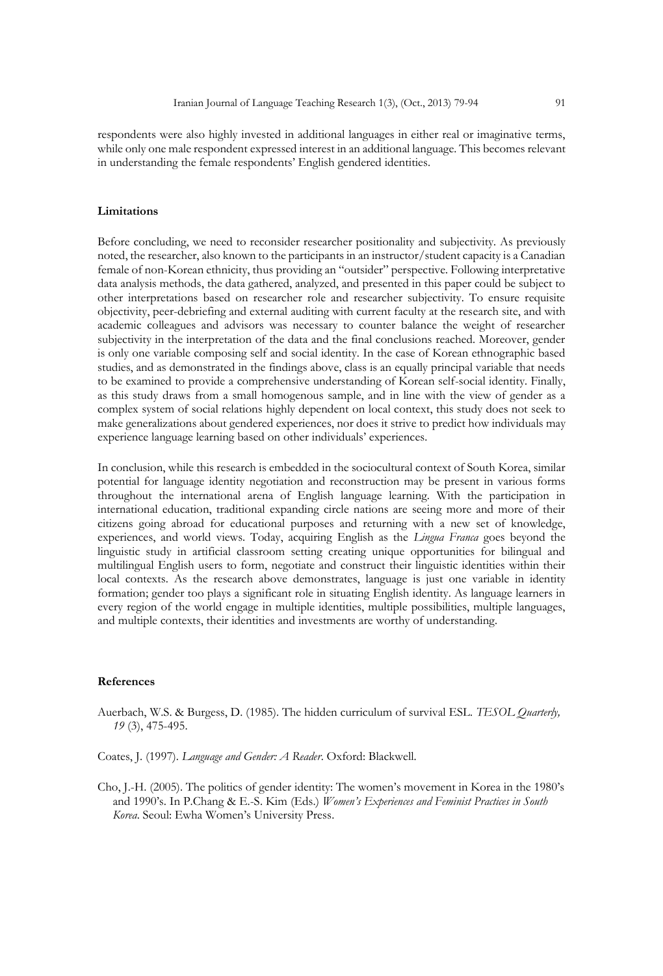respondents were also highly invested in additional languages in either real or imaginative terms, while only one male respondent expressed interest in an additional language. This becomes relevant in understanding the female respondents' English gendered identities.

#### **Limitations**

Before concluding, we need to reconsider researcher positionality and subjectivity. As previously noted, the researcher, also known to the participants in an instructor/student capacity is a Canadian female of non-Korean ethnicity, thus providing an "outsider" perspective. Following interpretative data analysis methods, the data gathered, analyzed, and presented in this paper could be subject to other interpretations based on researcher role and researcher subjectivity. To ensure requisite objectivity, peer-debriefing and external auditing with current faculty at the research site, and with academic colleagues and advisors was necessary to counter balance the weight of researcher subjectivity in the interpretation of the data and the final conclusions reached. Moreover, gender is only one variable composing self and social identity. In the case of Korean ethnographic based studies, and as demonstrated in the findings above, class is an equally principal variable that needs to be examined to provide a comprehensive understanding of Korean self-social identity. Finally, as this study draws from a small homogenous sample, and in line with the view of gender as a complex system of social relations highly dependent on local context, this study does not seek to make generalizations about gendered experiences, nor does it strive to predict how individuals may experience language learning based on other individuals' experiences.

In conclusion, while this research is embedded in the sociocultural context of South Korea, similar potential for language identity negotiation and reconstruction may be present in various forms throughout the international arena of English language learning. With the participation in international education, traditional expanding circle nations are seeing more and more of their citizens going abroad for educational purposes and returning with a new set of knowledge, experiences, and world views. Today, acquiring English as the *Lingua Franca* goes beyond the linguistic study in artificial classroom setting creating unique opportunities for bilingual and multilingual English users to form, negotiate and construct their linguistic identities within their local contexts. As the research above demonstrates, language is just one variable in identity formation; gender too plays a significant role in situating English identity. As language learners in every region of the world engage in multiple identities, multiple possibilities, multiple languages, and multiple contexts, their identities and investments are worthy of understanding.

#### **References**

- Auerbach, W.S. & Burgess, D. (1985). The hidden curriculum of survival ESL. *TESOL Quarterly, 19* (3), 475-495.
- Coates, J. (1997). *Language and Gender: A Reader*. Oxford: Blackwell.
- Cho, J.-H. (2005). The politics of gender identity: The women's movement in Korea in the 1980's and 1990's. In P.Chang & E.-S. Kim (Eds.) *Women's Experiences and Feminist Practices in South Korea*. Seoul: Ewha Women's University Press.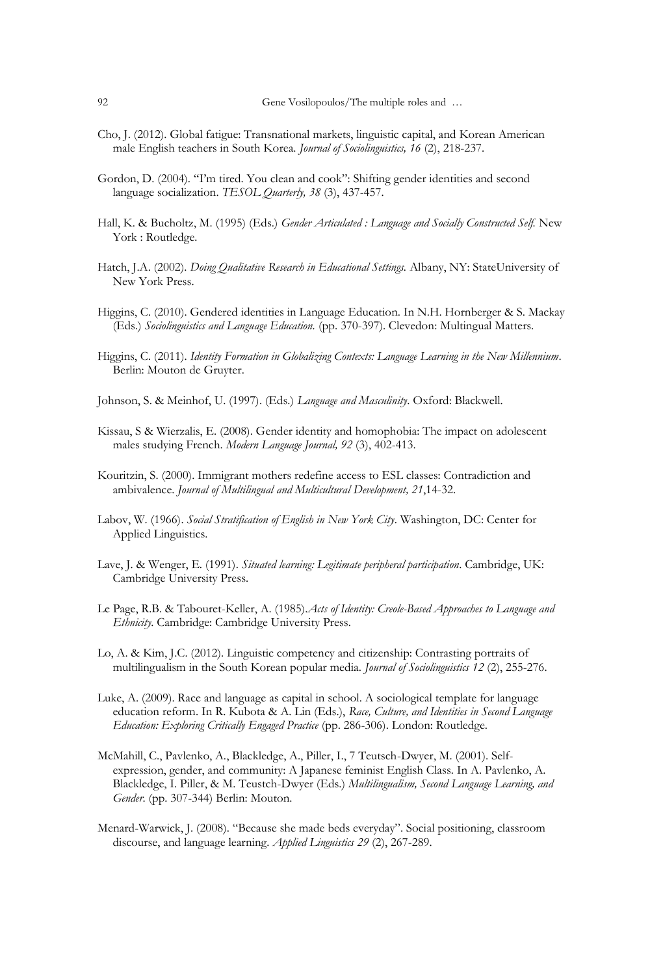- Cho, J. (2012). Global fatigue: Transnational markets, linguistic capital, and Korean American male English teachers in South Korea. *Journal of Sociolinguistics, 16* (2), 218-237.
- Gordon, D. (2004). "I'm tired. You clean and cook": Shifting gender identities and second language socialization. *TESOL Quarterly, 38* (3), 437-457.
- Hall, K. & Bucholtz, M. (1995) (Eds.) *Gender Articulated : Language and Socially Constructed Self.* New York : Routledge.
- Hatch, J.A. (2002). *Doing Qualitative Research in Educational Settings*. Albany, NY: StateUniversity of New York Press.
- Higgins, C. (2010). Gendered identities in Language Education. In N.H. Hornberger & S. Mackay (Eds.) *Sociolinguistics and Language Education.* (pp. 370-397). Clevedon: Multingual Matters.
- Higgins, C. (2011). *Identity Formation in Globalizing Contexts: Language Learning in the New Millennium*. Berlin: Mouton de Gruyter.
- Johnson, S. & Meinhof, U. (1997). (Eds.) *Language and Masculinity*. Oxford: Blackwell.
- Kissau, S & Wierzalis, E. (2008). Gender identity and homophobia: The impact on adolescent males studying French. *Modern Language Journal, 92* (3), 402-413.
- Kouritzin, S. (2000). Immigrant mothers redefine access to ESL classes: Contradiction and ambivalence. *Journal of Multilingual and Multicultural Development, 21*,14-32.
- Labov, W. (1966). *Social Stratification of English in New York City*. Washington, DC: Center for Applied Linguistics.
- Lave, J. & Wenger, E. (1991). *Situated learning: Legitimate peripheral participation*. Cambridge, UK: Cambridge University Press.
- Le Page, R.B. & Tabouret-Keller, A. (1985).*Acts of Identity: Creole-Based Approaches to Language and Ethnicity*. Cambridge: Cambridge University Press.
- Lo, A. & Kim, J.C. (2012). Linguistic competency and citizenship: Contrasting portraits of multilingualism in the South Korean popular media. *Journal of Sociolinguistics 12* (2), 255-276.
- Luke, A. (2009). Race and language as capital in school. A sociological template for language education reform. In R. Kubota & A. Lin (Eds.), *Race, Culture, and Identities in Second Language Education: Exploring Critically Engaged Practice* (pp. 286-306). London: Routledge.
- McMahill, C., Pavlenko, A., Blackledge, A., Piller, I., 7 Teutsch-Dwyer, M. (2001). Selfexpression, gender, and community: A Japanese feminist English Class. In A. Pavlenko, A. Blackledge, I. Piller, & M. Teustch-Dwyer (Eds.) *Multilingualism, Second Language Learning, and Gender*. (pp. 307-344) Berlin: Mouton.
- Menard-Warwick, J. (2008). "Because she made beds everyday". Social positioning, classroom discourse, and language learning. *Applied Linguistics 29* (2), 267-289.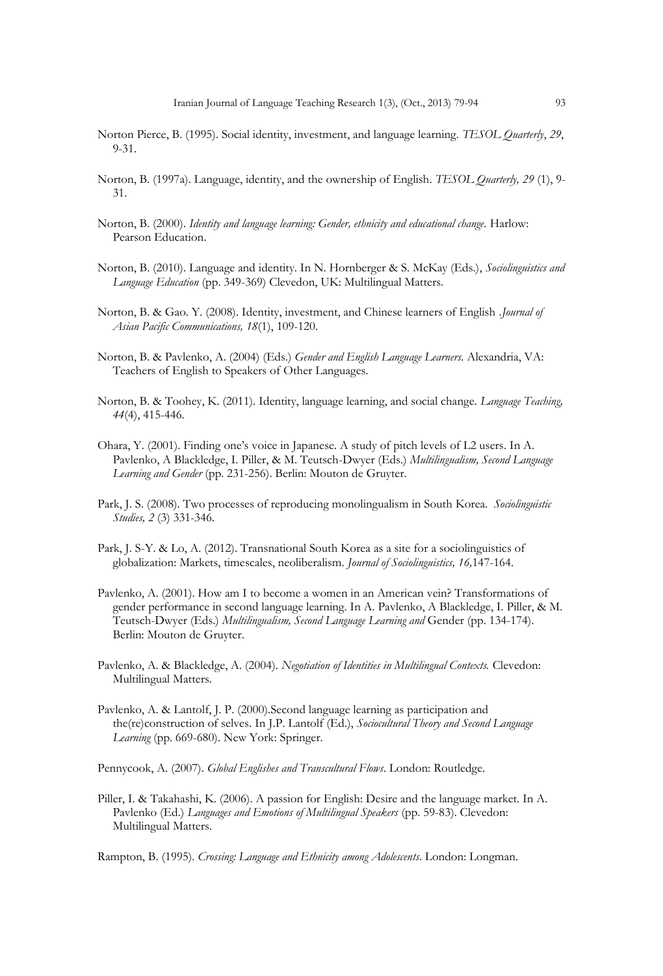- Norton Pierce, B. (1995). Social identity, investment, and language learning. *TESOL Quarterly*, *29*, 9-31.
- Norton, B. (1997a). Language, identity, and the ownership of English. *TESOL Quarterly, 29* (1), 9- 31.
- Norton, B. (2000). *Identity and language learning: Gender, ethnicity and educational change*. Harlow: Pearson Education.
- Norton, B. (2010). Language and identity. In N. Hornberger & S. McKay (Eds.), *Sociolinguistics and Language Education* (pp. 349-369) Clevedon, UK: Multilingual Matters.
- Norton, B. & Gao. Y. (2008). Identity, investment, and Chinese learners of English *.Journal of Asian Pacific Communications, 18*(1), 109-120.
- Norton, B. & Pavlenko, A. (2004) (Eds.) *Gender and English Language Learners.* Alexandria, VA: Teachers of English to Speakers of Other Languages.
- Norton, B. & Toohey, K. (2011). Identity, language learning, and social change. *Language Teaching, 44*(4), 415-446.
- Ohara, Y. (2001). Finding one's voice in Japanese. A study of pitch levels of L2 users. In A. Pavlenko, A Blackledge, I. Piller, & M. Teutsch-Dwyer (Eds.) *Multilingualism, Second Language Learning and Gender* (pp. 231-256). Berlin: Mouton de Gruyter.
- Park, J. S. (2008). Two processes of reproducing monolingualism in South Korea. *Sociolinguistic Studies, 2* (3) 331-346.
- Park, J. S-Y. & Lo, A. (2012). Transnational South Korea as a site for a sociolinguistics of globalization: Markets, timescales, neoliberalism. *Journal of Sociolinguistics, 16,*147-164.
- Pavlenko, A. (2001). How am I to become a women in an American vein? Transformations of gender performance in second language learning. In A. Pavlenko, A Blackledge, I. Piller, & M. Teutsch-Dwyer (Eds.) *Multilingualism, Second Language Learning and* Gender (pp. 134-174). Berlin: Mouton de Gruyter.
- Pavlenko, A. & Blackledge, A. (2004). *Negotiation of Identities in Multilingual Contexts.* Clevedon: Multilingual Matters.
- Pavlenko, A. & Lantolf, J. P. (2000).Second language learning as participation and the(re)construction of selves. In J.P. Lantolf (Ed.), *Sociocultural Theory and Second Language Learning* (pp. 669-680). New York: Springer.

Pennycook, A. (2007). *Global Englishes and Transcultural Flows*. London: Routledge.

Piller, I. & Takahashi, K. (2006). A passion for English: Desire and the language market. In A. Pavlenko (Ed.) *Languages and Emotions of Multilingual Speakers* (pp. 59-83). Clevedon: Multilingual Matters.

Rampton, B. (1995). *Crossing: Language and Ethnicity among Adolescents*. London: Longman.